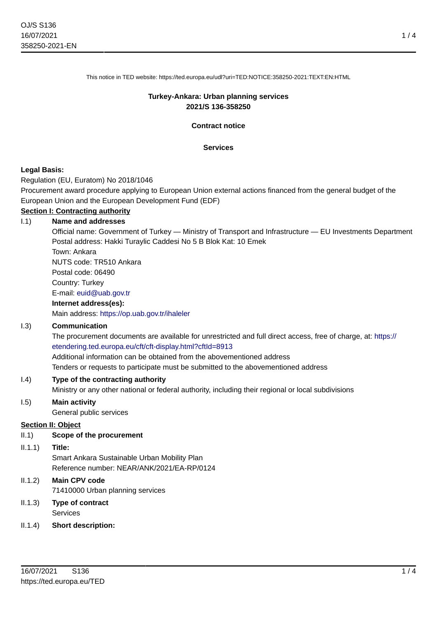This notice in TED website: https://ted.europa.eu/udl?uri=TED:NOTICE:358250-2021:TEXT:EN:HTML

### **Turkey-Ankara: Urban planning services 2021/S 136-358250**

**Contract notice**

### **Services**

### **Legal Basis:**

Regulation (EU, Euratom) No 2018/1046

Procurement award procedure applying to European Union external actions financed from the general budget of the European Union and the European Development Fund (EDF)

### **Section I: Contracting authority**

### I.1) **Name and addresses**

Official name: Government of Turkey — Ministry of Transport and Infrastructure — EU Investments Department Postal address: Hakki Turaylic Caddesi No 5 B Blok Kat: 10 Emek

Town: Ankara NUTS code: TR510 Ankara

Postal code: 06490

Country: Turkey

## E-mail: [euid@uab.gov.tr](mailto:euid@uab.gov.tr)

### **Internet address(es):**

Main address:<https://op.uab.gov.tr/ihaleler>

### I.3) **Communication**

The procurement documents are available for unrestricted and full direct access, free of charge, at: [https://](https://etendering.ted.europa.eu/cft/cft-display.html?cftId=8913) [etendering.ted.europa.eu/cft/cft-display.html?cftId=8913](https://etendering.ted.europa.eu/cft/cft-display.html?cftId=8913)

Additional information can be obtained from the abovementioned address

Tenders or requests to participate must be submitted to the abovementioned address

### I.4) **Type of the contracting authority**

Ministry or any other national or federal authority, including their regional or local subdivisions

### I.5) **Main activity**

General public services

### **Section II: Object**

### II.1) **Scope of the procurement**

### II.1.1) **Title:**

Smart Ankara Sustainable Urban Mobility Plan Reference number: NEAR/ANK/2021/EA-RP/0124

# II.1.2) **Main CPV code** 71410000 Urban planning services

- II.1.3) **Type of contract Services**
- II.1.4) **Short description:**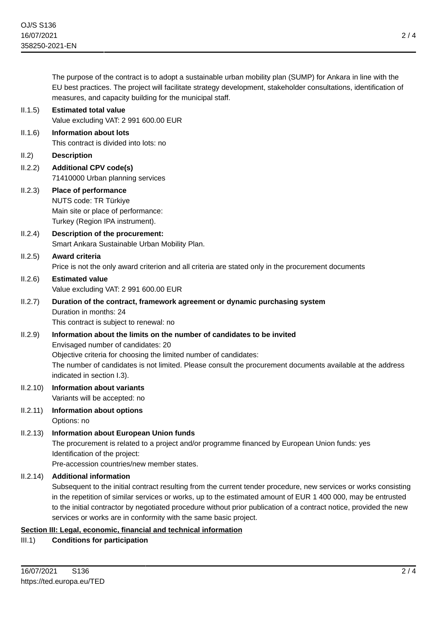The purpose of the contract is to adopt a sustainable urban mobility plan (SUMP) for Ankara in line with the EU best practices. The project will facilitate strategy development, stakeholder consultations, identification of measures, and capacity building for the municipal staff.

| II.1.5)  | <b>Estimated total value</b><br>Value excluding VAT: 2 991 600.00 EUR                                                                                                                                                                                                                                                                                                                                                                                        |
|----------|--------------------------------------------------------------------------------------------------------------------------------------------------------------------------------------------------------------------------------------------------------------------------------------------------------------------------------------------------------------------------------------------------------------------------------------------------------------|
| II.1.6)  | <b>Information about lots</b><br>This contract is divided into lots: no                                                                                                                                                                                                                                                                                                                                                                                      |
| II.2)    | <b>Description</b>                                                                                                                                                                                                                                                                                                                                                                                                                                           |
| II.2.2)  | <b>Additional CPV code(s)</b><br>71410000 Urban planning services                                                                                                                                                                                                                                                                                                                                                                                            |
| II.2.3)  | Place of performance<br>NUTS code: TR Türkiye<br>Main site or place of performance:<br>Turkey (Region IPA instrument).                                                                                                                                                                                                                                                                                                                                       |
| II.2.4)  | Description of the procurement:<br>Smart Ankara Sustainable Urban Mobility Plan.                                                                                                                                                                                                                                                                                                                                                                             |
| II.2.5)  | Award criteria<br>Price is not the only award criterion and all criteria are stated only in the procurement documents                                                                                                                                                                                                                                                                                                                                        |
| II.2.6)  | <b>Estimated value</b><br>Value excluding VAT: 2 991 600.00 EUR                                                                                                                                                                                                                                                                                                                                                                                              |
| II.2.7)  | Duration of the contract, framework agreement or dynamic purchasing system<br>Duration in months: 24<br>This contract is subject to renewal: no                                                                                                                                                                                                                                                                                                              |
| II.2.9)  | Information about the limits on the number of candidates to be invited<br>Envisaged number of candidates: 20<br>Objective criteria for choosing the limited number of candidates:<br>The number of candidates is not limited. Please consult the procurement documents available at the address<br>indicated in section I.3).                                                                                                                                |
| II.2.10) | <b>Information about variants</b><br>Variants will be accepted: no                                                                                                                                                                                                                                                                                                                                                                                           |
| II.2.11) | Information about options<br>Options: no                                                                                                                                                                                                                                                                                                                                                                                                                     |
|          | II.2.13) Information about European Union funds<br>The procurement is related to a project and/or programme financed by European Union funds: yes<br>Identification of the project:<br>Pre-accession countries/new member states.                                                                                                                                                                                                                            |
| II.2.14) | <b>Additional information</b><br>Subsequent to the initial contract resulting from the current tender procedure, new services or works consisting<br>in the repetition of similar services or works, up to the estimated amount of EUR 1 400 000, may be entrusted<br>to the initial contractor by negotiated procedure without prior publication of a contract notice, provided the new<br>services or works are in conformity with the same basic project. |

### **Section III: Legal, economic, financial and technical information**

III.1) **Conditions for participation**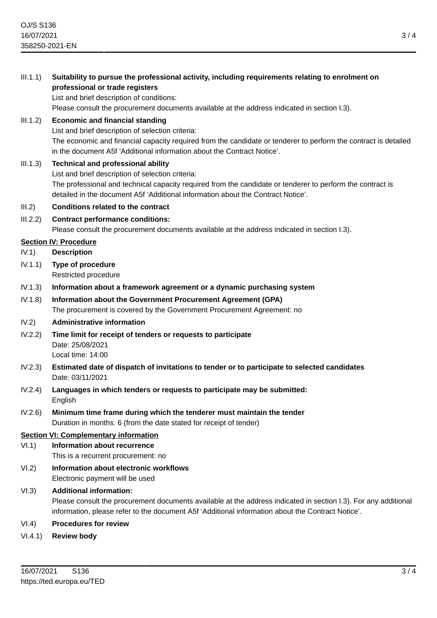III.1.1) **Suitability to pursue the professional activity, including requirements relating to enrolment on professional or trade registers**

List and brief description of conditions:

Please consult the procurement documents available at the address indicated in section I.3).

# III.1.2) **Economic and financial standing**

List and brief description of selection criteria: The economic and financial capacity required from the candidate or tenderer to perform the contract is detailed in the document A5f 'Additional information about the Contract Notice'.

III.1.3) **Technical and professional ability** List and brief description of selection criteria: The professional and technical capacity required from the candidate or tenderer to perform the contract is detailed in the document A5f 'Additional information about the Contract Notice'.

# III.2) **Conditions related to the contract**

III.2.2) **Contract performance conditions:** Please consult the procurement documents available at the address indicated in section I.3).

# **Section IV: Procedure**

- IV.1) **Description**
- IV.1.1) **Type of procedure** Restricted procedure
- IV.1.3) **Information about a framework agreement or a dynamic purchasing system**
- IV.1.8) **Information about the Government Procurement Agreement (GPA)** The procurement is covered by the Government Procurement Agreement: no

# IV.2) **Administrative information**

- IV.2.2) **Time limit for receipt of tenders or requests to participate** Date: 25/08/2021 Local time: 14:00
- IV.2.3) **Estimated date of dispatch of invitations to tender or to participate to selected candidates** Date: 03/11/2021
- IV.2.4) **Languages in which tenders or requests to participate may be submitted:** English
- IV.2.6) **Minimum time frame during which the tenderer must maintain the tender** Duration in months: 6 (from the date stated for receipt of tender)

## **Section VI: Complementary information**

- VI.1) **Information about recurrence**
	- This is a recurrent procurement: no
- VI.2) **Information about electronic workflows** Electronic payment will be used

# VI.3) **Additional information:**

Please consult the procurement documents available at the address indicated in section I.3). For any additional information, please refer to the document A5f 'Additional information about the Contract Notice'.

# VI.4) **Procedures for review**

VI.4.1) **Review body**